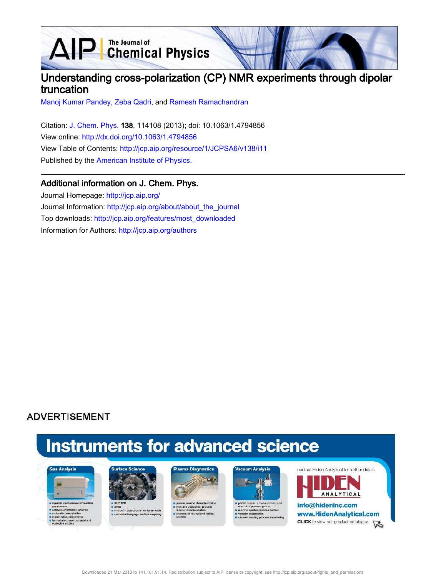**D** The Journal of Chemical Physics  $\Delta$ 

## Understanding cross-polarization (CP) NMR experiments through dipolar truncation

Manoj Kumar Pandey, Zeba Qadri, and Ramesh Ramachandran

Citation: J. Chem. Phys. 138, 114108 (2013); doi: 10.1063/1.4794856 View online: http://dx.doi.org/10.1063/1.4794856 View Table of Contents: http://jcp.aip.org/resource/1/JCPSA6/v138/i11 Published by the American Institute of Physics.

### Additional information on J. Chem. Phys.

Journal Homepage: http://jcp.aip.org/ Journal Information: http://jcp.aip.org/about/about\_the\_journal Top downloads: http://jcp.aip.org/features/most\_downloaded Information for Authors: http://jcp.aip.org/authors

## **ADVERTISEMENT**

# **Instruments for advanced science**





s end point detection in ion bear<br>selemental imaging - surface m





partial pressure mea re sputter pri cess control





www.HidenAnalytical.com **CLICK** to view our product catalogue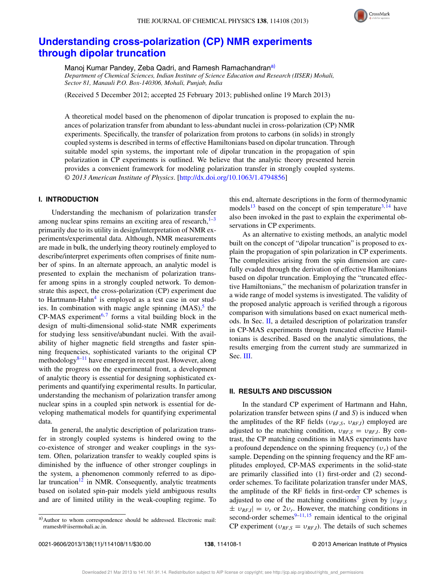

## **Understanding cross-polarization (CP) NMR experiments through dipolar truncation**

Manoj Kumar Pandey, Zeba Qadri, and Ramesh Ramachandran<sup>a)</sup>

*Department of Chemical Sciences, Indian Institute of Science Education and Research (IISER) Mohali, Sector 81, Manauli P.O. Box-140306, Mohali, Punjab, India*

(Received 5 December 2012; accepted 25 February 2013; published online 19 March 2013)

A theoretical model based on the phenomenon of dipolar truncation is proposed to explain the nuances of polarization transfer from abundant to less-abundant nuclei in cross-polarization (CP) NMR experiments. Specifically, the transfer of polarization from protons to carbons (in solids) in strongly coupled systems is described in terms of effective Hamiltonians based on dipolar truncation. Through suitable model spin systems, the important role of dipolar truncation in the propagation of spin polarization in CP experiments is outlined. We believe that the analytic theory presented herein provides a convenient framework for modeling polarization transfer in strongly coupled systems. *© 2013 American Institute of Physics*. [http://dx.doi.org/10.1063/1.4794856]

#### **I. INTRODUCTION**

Understanding the mechanism of polarization transfer among nuclear spins remains an exciting area of research, $1-3$ primarily due to its utility in design/interpretation of NMR experiments/experimental data. Although, NMR measurements are made in bulk, the underlying theory routinely employed to describe/interpret experiments often comprises of finite number of spins. In an alternate approach, an analytic model is presented to explain the mechanism of polarization transfer among spins in a strongly coupled network. To demonstrate this aspect, the cross-polarization (CP) experiment due to Hartmann-Hahn<sup>4</sup> is employed as a test case in our studies. In combination with magic angle spinning  $(MAS)$ , the  $CP-MAS$  experiment<sup>6,7</sup> forms a vital building block in the design of multi-dimensional solid-state NMR experiments for studying less sensitive/abundant nuclei. With the availability of higher magnetic field strengths and faster spinning frequencies, sophisticated variants to the original CP methodology $8-11$  have emerged in recent past. However, along with the progress on the experimental front, a development of analytic theory is essential for designing sophisticated experiments and quantifying experimental results. In particular, understanding the mechanism of polarization transfer among nuclear spins in a coupled spin network is essential for developing mathematical models for quantifying experimental data.

In general, the analytic description of polarization transfer in strongly coupled systems is hindered owing to the co-existence of stronger and weaker couplings in the system. Often, polarization transfer to weakly coupled spins is diminished by the influence of other stronger couplings in the system, a phenomenon commonly referred to as dipolar truncation<sup>12</sup> in NMR. Consequently, analytic treatments based on isolated spin-pair models yield ambiguous results and are of limited utility in the weak-coupling regime. To this end, alternate descriptions in the form of thermodynamic models<sup>13</sup> based on the concept of spin temperature<sup>3, 14</sup> have also been invoked in the past to explain the experimental observations in CP experiments.

As an alternative to existing methods, an analytic model built on the concept of "dipolar truncation" is proposed to explain the propagation of spin polarization in CP experiments. The complexities arising from the spin dimension are carefully evaded through the derivation of effective Hamiltonians based on dipolar truncation. Employing the "truncated effective Hamiltonians," the mechanism of polarization transfer in a wide range of model systems is investigated. The validity of the proposed analytic approach is verified through a rigorous comparison with simulations based on exact numerical methods. In Sec. II, a detailed description of polarization transfer in CP-MAS experiments through truncated effective Hamiltonians is described. Based on the analytic simulations, the results emerging from the current study are summarized in Sec. III.

#### **II. RESULTS AND DISCUSSION**

In the standard CP experiment of Hartmann and Hahn, polarization transfer between spins (*I* and *S*) is induced when the amplitudes of the RF fields (υ*RF*,*<sup>S</sup>*, υ*RF*,*<sup>I</sup>*) employed are adjusted to the matching condition,  $v_{RF,S} = v_{RF,I}$ . By contrast, the CP matching conditions in MAS experiments have a profound dependence on the spinning frequency (υ*r*) of the sample. Depending on the spinning frequency and the RF amplitudes employed, CP-MAS experiments in the solid-state are primarily classified into (1) first-order and (2) secondorder schemes. To facilitate polarization transfer under MAS, the amplitude of the RF fields in first-order CP schemes is adjusted to one of the matching conditions<sup>7</sup> given by  $|v_{RF,S}|$  $\pm v_{RF,I}$  =  $v_r$  or  $2v_r$ . However, the matching conditions in second-order schemes $9-11, 15$  remain identical to the original CP experiment ( $v_{RF,S} = v_{RF,I}$ ). The details of such schemes

a) Author to whom correspondence should be addressed. Electronic mail: rramesh@iisermohali.ac.in.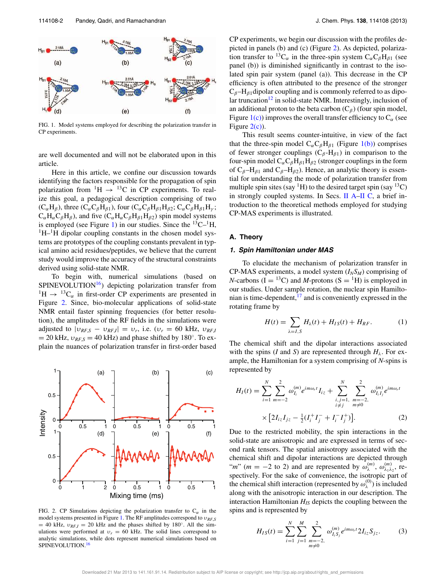

FIG. 1. Model systems employed for describing the polarization transfer in CP experiments.

are well documented and will not be elaborated upon in this article.

Here in this article, we confine our discussion towards identifying the factors responsible for the propagation of spin polarization from  ${}^{1}H \rightarrow {}^{13}C$  in CP experiments. To realize this goal, a pedagogical description comprising of two  $(C_{\alpha}H_{\beta})$ , three  $(C_{\alpha}C_{\beta}H_{\beta 1})$ , four  $(C_{\alpha}C_{\beta}H_{\beta 1}H_{\beta 2}; C_{\alpha}C_{\beta}H_{\beta 1}H_{\gamma};$  $C_{\alpha}H_{\alpha}C_{\beta}H_{\beta}$ ), and five  $(C_{\alpha}H_{\alpha}C_{\beta}H_{\beta1}H_{\beta2})$  spin model systems is employed (see Figure 1) in our studies. Since the  ${}^{13}C-{}^{1}H$ ,  ${}^{1}H-{}^{1}H$  dipolar coupling constants in the chosen model systems are prototypes of the coupling constants prevalent in typical amino acid residues/peptides, we believe that the current study would improve the accuracy of the structural constraints derived using solid-state NMR.

To begin with, numerical simulations (based on SPINEVOLUTION<sup>16</sup>) depicting polarization transfer from  ${}^{1}H \rightarrow {}^{13}C_{\alpha}$  in first-order CP experiments are presented in Figure 2. Since, bio-molecular applications of solid-state NMR entail faster spinning frequencies (for better resolution), the amplitudes of the RF fields in the simulations were adjusted to  $|v_{RF,S} - v_{RF,I}| = v_r$ , i.e.  $(v_r = 60 \text{ kHz}, v_{RF,I})$  $= 20$  kHz,  $v_{RF,S} = 40$  kHz) and phase shifted by 180<sup>°</sup>. To explain the nuances of polarization transfer in first-order based



FIG. 2. CP Simulations depicting the polarization transfer to  $C_{\alpha}$  in the model systems presented in Figure 1. The RF amplitudes correspond to υ*RF*,*<sup>S</sup>*  $= 40$  kHz,  $v_{RF,I} = 20$  kHz and the phases shifted by 180<sup>°</sup>. All the simulations were performed at  $v_r = 60$  kHz. The solid lines correspond to analytic simulations, while dots represent numerical simulations based on SPINEVOLUTION.<sup>16</sup>

CP experiments, we begin our discussion with the profiles depicted in panels (b) and (c) (Figure 2). As depicted, polarization transfer to <sup>13</sup>C<sub>α</sub> in the three-spin system  $C_{\alpha}C_{\beta}H_{\beta1}$  (see panel (b)) is diminished significantly in contrast to the isolated spin pair system (panel (a)). This decrease in the CP efficiency is often attributed to the presence of the stronger  $C_\beta$ -H<sub> $\beta$ 1</sub> dipolar coupling and is commonly referred to as dipolar truncation<sup>12</sup> in solid-state NMR. Interestingly, inclusion of an additional proton to the beta carbon  $(C_\beta)$  (four spin model, Figure 1(c)) improves the overall transfer efficiency to  $C_\alpha$  (see Figure  $2(c)$ ).

This result seems counter-intuitive, in view of the fact that the three-spin model  $C_{\alpha}C_{\beta}H_{\beta 1}$  (Figure 1(b)) comprises of fewer stronger couplings  $(C_\beta - H_{\beta 1})$  in comparison to the four-spin model  $C_{\alpha}C_{\beta}H_{\beta1}H_{\beta2}$  (stronger couplings in the form of  $C_\beta$ -H<sub> $\beta$ 1</sub> and C<sub> $\beta$ </sub>-H<sub> $\beta$ 2</sub>). Hence, an analytic theory is essential for understanding the mode of polarization transfer from multiple spin sites (say <sup>1</sup>H) to the desired target spin (say <sup>13</sup>C) in strongly coupled systems. In Secs. II A–II C, a brief introduction to the theoretical methods employed for studying CP-MAS experiments is illustrated.

#### **A. Theory**

#### **1. Spin Hamiltonian under MAS**

To elucidate the mechanism of polarization transfer in CP-MAS experiments, a model system  $(I_N S_M)$  comprising of *N*-carbons ( $I = {}^{13}C$ ) and *M*-protons ( $S = {}^{1}H$ ) is employed in our studies. Under sample rotation, the nuclear spin Hamiltonian is time-dependent,  $^{17}$  and is conveniently expressed in the rotating frame by

$$
H(t) = \sum_{\lambda = I, S} H_{\lambda}(t) + H_{IS}(t) + H_{RF}.
$$
 (1)

The chemical shift and the dipolar interactions associated with the spins (*I* and *S*) are represented through  $H_{\lambda}$ . For example, the Hamiltonian for a system comprising of *N*-spins is represented by

$$
H_{I}(t) = \sum_{i=1}^{N} \sum_{m=-2}^{2} \omega_{I_{i}}^{(m)} e^{im\omega_{r}t} I_{iz} + \sum_{\substack{i,j=1, \ m=-2, \\ i \neq j}}^{N} \sum_{\substack{m=-2, \\ m \neq 0}}^{2} \omega_{I_{i}I_{j}}^{(m)} e^{im\omega_{r}t}
$$

$$
\times \left[2I_{iz}I_{jz} - \frac{1}{2}(I_{i}^{+}I_{j}^{-} + I_{i}^{-}I_{j}^{+})\right].
$$
 (2)

Due to the restricted mobility, the spin interactions in the solid-state are anisotropic and are expressed in terms of second rank tensors. The spatial anisotropy associated with the chemical shift and dipolar interactions are depicted through "*m*" (*m* = -2 to 2) and are represented by  $\omega_{\lambda}^{(m)}$ ,  $\omega_{\lambda_1 \lambda_2}^{(m)}$ , respectively. For the sake of convenience, the isotropic part of the chemical shift interaction (represented by  $\omega_{\lambda}^{(0)}$ ) is included along with the anisotropic interaction in our description. The interaction Hamiltonian *HIS* depicts the coupling between the spins and is represented by

$$
H_{IS}(t) = \sum_{i=1}^{N} \sum_{j=1}^{M} \sum_{\substack{m=-2,\\ m \neq 0}}^{2} \omega_{I_i S_j}^{(m)} e^{im\omega_r t} 2I_{iz} S_{jz}.
$$
 (3)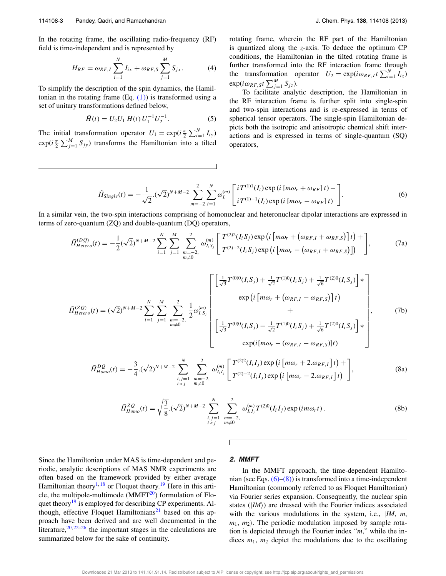In the rotating frame, the oscillating radio-frequency (RF) field is time-independent and is represented by

$$
H_{RF} = \omega_{RF, I} \sum_{i=1}^{N} I_{ix} + \omega_{RF, S} \sum_{j=1}^{M} S_{jx}.
$$
 (4)

To simplify the description of the spin dynamics, the Hamiltonian in the rotating frame  $(Eq. (1))$  is transformed using a set of unitary transformations defined below,

$$
\tilde{H}(t) = U_2 U_1 H(t) U_1^{-1} U_2^{-1}.
$$
\n(5)

The initial transformation operator  $U_1 = \exp(i\frac{\pi}{2} \sum_{i=1}^{N} I_{iy})$  $exp(i\frac{\pi}{2}\sum_{j=1}^{M}S_{jy})$  transforms the Hamiltonian into a tilted rotating frame, wherein the RF part of the Hamiltonian is quantized along the *z*-axis. To deduce the optimum CP conditions, the Hamiltonian in the tilted rotating frame is further transformed into the RF interaction frame through the transformation operator  $U_2 = \exp(i\omega_{RF,1}t \sum_{i=1}^{N} I_{iz})$  $\exp(i\omega_{RF,S}t\sum_{j=1}^{M}S_{jz}).$ 

To facilitate analytic description, the Hamiltonian in the RF interaction frame is further split into single-spin and two-spin interactions and is re-expressed in terms of spherical tensor operators. The single-spin Hamiltonian depicts both the isotropic and anisotropic chemical shift interactions and is expressed in terms of single-quantum (SQ) operators,

$$
\tilde{H}_{Single}(t) = -\frac{1}{\sqrt{2}} \cdot (\sqrt{2})^{N+M-2} \sum_{m=-2}^{2} \sum_{i=1}^{N} \omega_{I_i}^{(m)} \left[ i T^{(1)1}(I_i) \exp(i [m\omega_r + \omega_{RF}] t) - \right].
$$
\n(6)

In a similar vein, the two-spin interactions comprising of homonuclear and heteronuclear dipolar interactions are expressed in terms of zero-quantum (ZQ) and double-quantum (DQ) operators,

$$
\tilde{H}^{(DQ)}_{Hetero}(t) = -\frac{1}{2} (\sqrt{2})^{N+M-2} \sum_{i=1}^{N} \sum_{j=1}^{M} \sum_{\substack{m=-2,\\m\neq 0}}^{2} \omega_{I_i S_j}^{(m)} \left[ T^{(2)2}(I_i S_j) \exp\left(i \left[ m\omega_r + \left( \omega_{RF, I} + \omega_{RF, S} \right) \right] t \right) + \right], \tag{7a}
$$

$$
\tilde{H}_{Hetero}^{(2Q)}(t) = (\sqrt{2})^{N+M-2} \sum_{i=1}^{N} \sum_{j=1}^{M} \sum_{\substack{m=-2,\\m\neq 0}}^{N} \frac{1}{2} \omega_{I,S_j}^{(m)} \left[ \frac{\left[\frac{1}{\sqrt{3}} T^{(0)0}(I_i S_j) + \frac{1}{\sqrt{2}} T^{(1)0}(I_i S_j) + \frac{1}{\sqrt{6}} T^{(2)0}(I_i S_j) \right] *}{+ + \left[\frac{1}{\sqrt{3}} T^{(0)0}(I_i S_j) - \frac{1}{\sqrt{2}} T^{(1)0}(I_i S_j) + \frac{1}{\sqrt{6}} T^{(2)0}(I_i S_j) \right] *} \right],
$$
\n
$$
\exp(i[m\omega_r - (\omega_{RF,I} - \omega_{RF,S})]t)
$$
\n(7b)

$$
\tilde{H}^{DQ}_{Homo}(t) = -\frac{3}{4} \cdot (\sqrt{2})^{N+M-2} \sum_{\substack{i,j=1 \ i
$$

$$
\tilde{H}_{Homo}^{ZQ}(t) = \sqrt{\frac{3}{8}}.(\sqrt{2})^{N+M-2} \sum_{\substack{i,j=1 \ i\n(8b)
$$

Since the Hamiltonian under MAS is time-dependent and periodic, analytic descriptions of MAS NMR experiments are often based on the framework provided by either average Hamiltonian theory<sup>1,18</sup> or Floquet theory.<sup>19</sup> Here in this article, the multipole-multimode  $(MMFT<sup>20</sup>)$  formulation of Floquet theory<sup>19</sup> is employed for describing CP experiments. Although, effective Floquet Hamiltonians<sup>21</sup> based on this approach have been derived and are well documented in the literature,  $20, 22-26$  the important stages in the calculations are summarized below for the sake of continuity.

#### **2. MMFT**

Г

In the MMFT approach, the time-dependent Hamiltonian (see Eqs.  $(6)$ – $(8)$ ) is transformed into a time-independent Hamiltonian (commonly referred to as Floquet Hamiltonian) via Fourier series expansion. Consequently, the nuclear spin states (*IM*)) are dressed with the Fourier indices associated with the various modulations in the system, i.e., |*IM*, *m*,  $m_1$ ,  $m_2$ ). The periodic modulation imposed by sample rotation is depicted through the Fourier index "*m*," while the indices  $m_1$ ,  $m_2$  depict the modulations due to the oscillating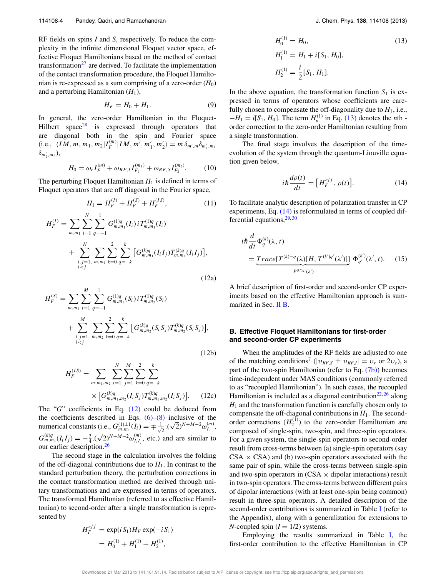RF fields on spins *I* and *S*, respectively. To reduce the complexity in the infinite dimensional Floquet vector space, effective Floquet Hamiltonians based on the method of contact transformation<sup>27</sup> are derived. To facilitate the implementation of the contact transformation procedure, the Floquet Hamiltonian is re-expressed as a sum comprising of a zero-order  $(H_0)$ and a perturbing Hamiltonian  $(H_1)$ ,

$$
H_F = H_0 + H_1. \tag{9}
$$

In general, the zero-order Hamiltonian in the Floquet-Hilbert space<sup>28</sup> is expressed through operators that are diagonal both in the spin and Fourier space (i.e.,  $\langle IM, m, m_1, m_2 | I_F^{(m)} | IM, m', m'_1, m'_2 \rangle = m \, \delta_{m',m} \delta_{m'_1, m_1}$  $\delta_{m'_2,m_2}$ ),

$$
H_0 = \omega_r I_F^{(m)} + \omega_{RF, I} I_{F_1}^{(m_1)} + \omega_{RF, S} I_{F_2}^{(m_2)}.
$$
 (10)

The perturbing Floquet Hamiltonian  $H_1$  is defined in terms of Floquet operators that are off diagonal in the Fourier space,

$$
H_1 = H_F^{(I)} + H_F^{(S)} + H_F^{(IS)},\tag{11}
$$

$$
H_F^{(I)} = \sum_{m,m_1} \sum_{i=1}^N \sum_{q=-1}^1 G_{m,m_1}^{(1)q}(I_i) i T_{m,m_1}^{(1)q}(I_i)
$$
  
+ 
$$
\sum_{\substack{i,j=1, \ m,m_1}}^N \sum_{k=0}^2 \sum_{q=-k}^k \sum_{q=-k}^k \left[ G_{m,m_1}^{(k)q}(I_i I_j) T_{m,m_1}^{(k)q}(I_i I_j) \right],
$$
(12a)

$$
H_F^{(S)} = \sum_{m,m_2} \sum_{i=1}^{M} \sum_{q=-1}^{1} G_{m,m_1}^{(1)q}(S_i) i T_{m,m_2}^{(1)q}(S_i)
$$
  
+ 
$$
\sum_{\substack{i,j=1, m,m_2}}^{M} \sum_{k=0}^{2} \sum_{q=-k}^{k} \left[ G_{m,m_2}^{(k)q}(S_i S_j) T_{m,m_2}^{(k)q}(S_i S_j) \right],
$$
  
(12b)

$$
H_F^{(IS)} = \sum_{m,m_1,m_2} \sum_{i=1}^N \sum_{j=1}^M \sum_{k=0}^2 \sum_{q=-k}^k
$$
  
 
$$
\times \left[ G_{m,m_1,m_2}^{(k)q} (I_i S_j) T_{m,m_1,m_2}^{(k)q} (I_i S_j) \right].
$$
 (12c)

The "*G*" coefficients in Eq. (12) could be deduced from the coefficients described in Eqs.  $(6)$ – $(8)$  inclusive of the numerical constants (i.e.,  $G_{m,m_1}^{(1)\pm1}(I_i) = \mp \frac{1}{\sqrt{n}}$  $\frac{1}{2} \cdot (\sqrt{2})^{N+M-2} \omega_{I_i}^{(m)},$  $G_{m,m_1}^{(k)q}(I_iI_j) = -\frac{3}{4} \cdot (\sqrt{2})^{N+M-2} \omega_{I_iI_j}^{(m)}$ , etc.) and are similar to our earlier description.<sup>26</sup>

The second stage in the calculation involves the folding of the off-diagonal contributions due to  $H<sub>1</sub>$ . In contrast to the standard perturbation theory, the perturbation corrections in the contact transformation method are derived through unitary transformations and are expressed in terms of operators. The transformed Hamiltonian (referred to as effective Hamiltonian) to second-order after a single transformation is represented by

$$
H_F^{eff} = \exp(iS_1)H_F \exp(-iS_1)
$$
  
=  $H_0^{(1)} + H_1^{(1)} + H_2^{(1)}$ ,

$$
H_0^{(1)} = H_0,
$$
\n
$$
H_1^{(1)} = H_1 + i[S_1, H_0],
$$
\n
$$
H_2^{(1)} = \frac{i}{2}[S_1, H_1].
$$
\n(13)

In the above equation, the transformation function  $S_1$  is expressed in terms of operators whose coefficients are carefully chosen to compensate the off-diagonality due to  $H_1$ , i.e.,  $-H_1 = i[S_1, H_0]$ . The term  $H_n^{(1)}$  in Eq. (13) denotes the *n*th order correction to the zero-order Hamiltonian resulting from a single transformation.

The final stage involves the description of the timeevolution of the system through the quantum-Liouville equation given below,

$$
i\hbar \frac{d\rho(t)}{dt} = \left[ H_F^{eff}, \rho(t) \right]. \tag{14}
$$

To facilitate analytic description of polarization transfer in CP experiments, Eq. (14) is reformulated in terms of coupled differential equations,  $29,30$ 

$$
i\hbar \frac{d}{dt} \Phi_q^{(k)}(\lambda, t)
$$
  
= 
$$
\underbrace{Trace[T^{(k)-q}(\lambda)[H, T^{(k')q'}(\lambda')]}_{P^{(k')q'}(\lambda')} \Phi_{q'}^{(k')}(\lambda', t). \quad (15)
$$

A brief description of first-order and second-order CP experiments based on the effective Hamiltonian approach is summarized in Sec. II B.

#### **B. Effective Floquet Hamiltonians for first-order and second-order CP experiments**

When the amplitudes of the RF fields are adjusted to one of the matching conditions<sup>7</sup> ( $|v_{RF,S} \pm v_{RF,I}| = v_r$  or  $2v_r$ ), a part of the two-spin Hamiltonian (refer to Eq. (7b)) becomes time-independent under MAS conditions (commonly referred to as "recoupled Hamiltonian"). In such cases, the recoupled Hamiltonian is included as a diagonal contribution<sup>22, 26</sup> along  $H_1$  and the transformation function is carefully chosen only to compensate the off-diagonal contributions in  $H_1$ . The secondorder corrections  $(H_2^{(1)})$  to the zero-order Hamiltonian are composed of single-spin, two-spin, and three-spin operators. For a given system, the single-spin operators to second-order result from cross-terms between (a) single-spin operators (say  $CSA \times CSA$ ) and (b) two-spin operators associated with the same pair of spin, while the cross-terms between single-spin and two-spin operators in  $(CSA \times dipolar$  interactions) result in two-spin operators. The cross-terms between different pairs of dipolar interactions (with at least one-spin being common) result in three-spin operators. A detailed description of the second-order contributions is summarized in Table I (refer to the Appendix), along with a generalization for extensions to *N*-coupled spin  $(I = 1/2)$  systems.

Employing the results summarized in Table I, the first-order contribution to the effective Hamiltonian in CP

Downloaded 21 Mar 2013 to 141.161.91.14. Redistribution subject to AIP license or copyright; see http://jcp.aip.org/about/rights\_and\_permissions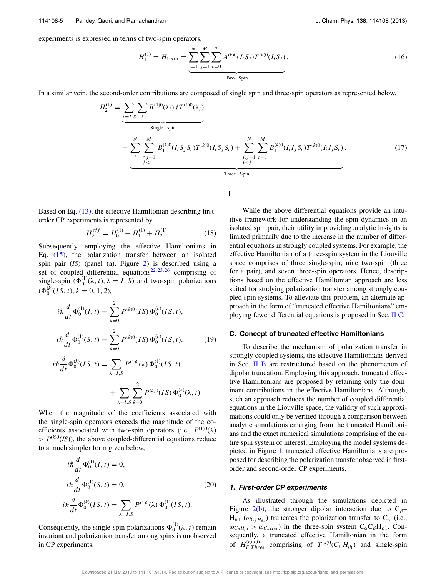experiments is expressed in terms of two-spin operators,

$$
H_1^{(1)} = H_{1,dia} = \underbrace{\sum_{i=1}^{N} \sum_{j=1}^{M} \sum_{k=0}^{2} A^{(k)0} (I_i S_j) T^{(k)0} (I_i S_j)}_{\text{Two-Spin}}.
$$
 (16)

In a similar vein, the second-order contributions are composed of single spin and three-spin operators as represented below,

$$
H_2^{(1)} = \underbrace{\sum_{\lambda=I,S} \sum_{i} B^{(1)0}(\lambda_i) . i T^{(1)0}(\lambda_i)}_{\text{Single-spin}}
$$
  
+ 
$$
\underbrace{\sum_{i} \sum_{r,j=1}^{M} B_1^{(k)0} (I_i S_j S_r) T^{(k)0} (I_i S_j S_r)}_{\text{j-r}} + \underbrace{\sum_{i,j=1}^{N} \sum_{r=1}^{M} B_1^{(k)0} (I_i I_j S_r) T^{(k)0} (I_i I_j S_r)}_{\text{Three-Spin}}.
$$
 (17)

Based on Eq. (13), the effective Hamiltonian describing firstorder CP experiments is represented by

$$
H_F^{eff} = H_0^{(1)} + H_1^{(1)} + H_2^{(1)}.
$$
 (18)

Subsequently, employing the effective Hamiltonians in Eq. (15), the polarization transfer between an isolated spin pair (*IS*) (panel (a), Figure 2) is described using a set of coupled differential equations<sup>22, 23, 26</sup> comprising of single-spin  $(\Phi_0^{(1)}(\lambda, t), \lambda = I, S)$  and two-spin polarizations  $(\Phi_0^{(k)}(IS, t), k = 0, 1, 2),$ 

$$
i\hbar \frac{d}{dt} \Phi_0^{(1)}(I, t) = \sum_{k=0}^2 P^{(k)0}(IS) \Phi_0^{(k)}(IS, t),
$$
  

$$
i\hbar \frac{d}{dt} \Phi_0^{(1)}(S, t) = \sum_{k=0}^2 P^{(k)0}(IS) \Phi_0^{(k)}(IS, t),
$$
 (19)

$$
i\hbar \frac{d}{dt} \Phi_0^{(k)}(IS, t) = \sum_{\lambda = I, S} P^{(1)0}(\lambda) \Phi_0^{(1)}(IS, t)
$$

$$
+ \sum_{\lambda = I, S} \sum_{k=0}^{2} P^{(k)0}(IS) \Phi_0^{(k)}(\lambda, t).
$$

When the magnitude of the coefficients associated with the single-spin operators exceeds the magnitude of the coefficients associated with two-spin operators (i.e.,  $P^{(1)0}(\lambda)$  $> P^{(k)0}(IS)$ , the above coupled-differential equations reduce to a much simpler form given below,

$$
i\hbar \frac{d}{dt} \Phi_0^{(1)}(I, t) = 0,
$$
  
\n
$$
i\hbar \frac{d}{dt} \Phi_0^{(1)}(S, t) = 0,
$$
  
\n
$$
i\hbar \frac{d}{dt} \Phi_0^{(k)}(IS, t) = \sum_{\lambda=I, S} P^{(1)0}(\lambda) \Phi_0^{(1)}(IS, t).
$$
\n(20)

Consequently, the single-spin polarizations  $\Phi_0^{(1)}(\lambda, t)$  remain invariant and polarization transfer among spins is unobserved in CP experiments.

While the above differential equations provide an intuitive framework for understanding the spin dynamics in an isolated spin pair, their utility in providing analytic insights is limited primarily due to the increase in the number of differential equations in strongly coupled systems. For example, the effective Hamiltonian of a three-spin system in the Liouville space comprises of three single-spin, nine two-spin (three for a pair), and seven three-spin operators. Hence, descriptions based on the effective Hamiltonian approach are less suited for studying polarization transfer among strongly coupled spin systems. To alleviate this problem, an alternate approach in the form of "truncated effective Hamiltonians" employing fewer differential equations is proposed in Sec. II C.

#### **C. Concept of truncated effective Hamiltonians**

To describe the mechanism of polarization transfer in strongly coupled systems, the effective Hamiltonians derived in Sec. II B are restructured based on the phenomenon of dipolar truncation. Employing this approach, truncated effective Hamiltonians are proposed by retaining only the dominant contributions in the effective Hamiltonians. Although, such an approach reduces the number of coupled differential equations in the Liouville space, the validity of such approximations could only be verified through a comparison between analytic simulations emerging from the truncated Hamiltonians and the exact numerical simulations comprising of the entire spin system of interest. Employing the model systems depicted in Figure 1, truncated effective Hamiltonians are proposed for describing the polarization transfer observed in firstorder and second-order CP experiments.

#### **1. First-order CP experiments**

As illustrated through the simulations depicted in Figure 2(b), the stronger dipolar interaction due to  $C_{\beta}$ - $H_{\beta 1}$  ( $\omega_{C_{\beta}H_{\beta 1}}$ ) truncates the polarization transfer to  $C_{\alpha}$  (i.e.,  $\omega_{C_\beta H_{\beta 1}} > \omega_{C_\alpha H_{\beta 1}}$ ) in the three-spin system  $C_\alpha C_\beta H_{\beta 1}$ . Consequently, a truncated effective Hamiltonian in the form of  $H_{F,Three}^{(eff)T}$  comprising of  $T^{(k)0}(C_{\beta}H_{\beta_1})$  and single-spin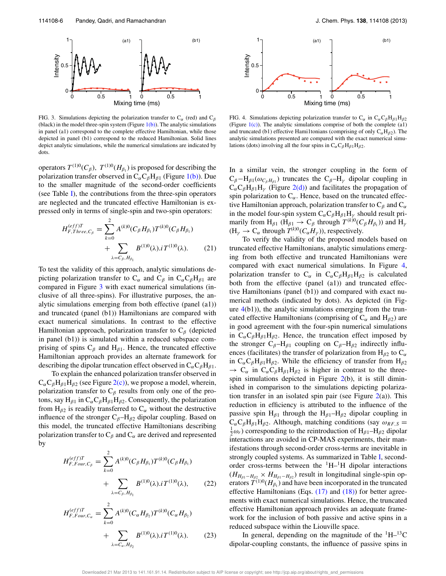

FIG. 3. Simulations depicting the polarization transfer to  $C_{\alpha}$  (red) and  $C_{\beta}$ (black) in the model three-spin system (Figure  $1(b)$ ). The analytic simulations in panel (a1) correspond to the complete effective Hamiltonian, while those depicted in panel (b1) correspond to the reduced Hamiltonian. Solid lines depict analytic simulations, while the numerical simulations are indicated by dots.

operators  $T^{(1)0}(C_{\beta}), T^{(1)0}(H_{\beta_1})$  is proposed for describing the polarization transfer observed in  $C_{\alpha}C_{\beta}H_{\beta 1}$  (Figure 1(b)). Due to the smaller magnitude of the second-order coefficients (see Table I), the contributions from the three-spin operators are neglected and the truncated effective Hamiltonian is expressed only in terms of single-spin and two-spin operators:

$$
H_{F,Three,C_{\beta}}^{(eff)T} = \sum_{k=0}^{2} A^{(k)0} (C_{\beta} H_{\beta_1}) T^{(k)0} (C_{\beta} H_{\beta_1}) + \sum_{\lambda = C_{\beta}, H_{\beta_1}} B^{(1)0} (\lambda). i T^{(1)0} (\lambda). \tag{21}
$$

To test the validity of this approach, analytic simulations depicting polarization transfer to  $C_{\alpha}$  and  $C_{\beta}$  in  $C_{\alpha}C_{\beta}H_{\beta 1}$  are compared in Figure 3 with exact numerical simulations (inclusive of all three-spins). For illustrative purposes, the analytic simulations emerging from both effective (panel (a1)) and truncated (panel (b1)) Hamiltonians are compared with exact numerical simulations. In contrast to the effective Hamiltonian approach, polarization transfer to  $C_\beta$  (depicted in panel (b1)) is simulated within a reduced subspace comprising of spins  $C_\beta$  and  $H_{\beta 1}$ . Hence, the truncated effective Hamiltonian approach provides an alternate framework for describing the dipolar truncation effect observed in  $C_{\alpha}C_{\beta}H_{\beta1}$ .

To explain the enhanced polarization transfer observed in  $C_{\alpha}C_{\beta}H_{\beta1}H_{\beta2}$  (see Figure 2(c)), we propose a model, wherein, polarization transfer to  $C_\beta$  results from only one of the protons, say H<sub>β1</sub> in  $C_{\alpha}C_{\beta}H_{\beta1}H_{\beta2}$ . Consequently, the polarization from  $H_{\beta 2}$  is readily transferred to  $C_{\alpha}$  without the destructive influence of the stronger  $C_\beta$ -H<sub>β2</sub> dipolar coupling. Based on this model, the truncated effective Hamiltonians describing polarization transfer to  $C_\beta$  and  $C_\alpha$  are derived and represented by

$$
H_{F,Four,C_{\beta}}^{(eff)T} = \sum_{k=0}^{2} A^{(k)0} (C_{\beta} H_{\beta_1}) T^{(k)0} (C_{\beta} H_{\beta_1}) + \sum_{\lambda = C_{\beta}, H_{\beta_1}} B^{(1)0} (\lambda). i T^{(1)0} (\lambda), \qquad (22)
$$

$$
H_{F,Four, C_{\alpha}}^{(eff)T} = \sum_{k=0}^{2} A^{(k)0} (C_{\alpha} H_{\beta_2}) T^{(k)0} (C_{\alpha} H_{\beta_2}) + \sum_{\lambda = C_{\alpha}, H_{\beta_2}} B^{(1)0} (\lambda). i T^{(1)0} (\lambda). \tag{23}
$$



FIG. 4. Simulations depicting polarization transfer to  $C_{\alpha}$  in  $C_{\alpha}C_{\beta}H_{\beta1}H_{\beta2}$ (Figure  $1(c)$ ). The analytic simulations comprise of both the complete (a1) and truncated (b1) effective Hami1tonians (comprising of only  $C_{\alpha}H_{\beta 2}$ ). The analytic simulations presented are compared with the exact numerical simulations (dots) involving all the four spins in  $C_{\alpha}C_{\beta}H_{\beta1}H_{\beta2}$ .

In a similar vein, the stronger coupling in the form of  $C_\beta - H_{\beta 1}(\omega_{C_\beta H_{\beta 1}})$  truncates the  $C_\beta - H_\gamma$  dipolar coupling in  $C_{\alpha}C_{\beta}H_{\beta1}H_{\gamma}$  (Figure 2(d)) and facilitates the propagation of spin polarization to  $C_{\alpha}$ . Hence, based on the truncated effective Hamiltonian approach, polarization transfer to  $C_\beta$  and  $C_\alpha$ in the model four-spin system  $C_{\alpha}C_{\beta}H_{\beta}H_{\gamma}$  should result primarily from  $H_{\beta 1}$  ( $H_{\beta 1} \rightarrow C_{\beta}$  through  $T^{(k)0}(C_{\beta}H_{\beta_1})$ ) and  $H_{\gamma}$  $(H_\gamma \to C_\alpha \text{ through } T^{(k)0}(C_\alpha H_\gamma)),$  respectively.

To verify the validity of the proposed models based on truncated effective Hamiltonians, analytic simulations emerging from both effective and truncated Hamiltonians were compared with exact numerical simulations. In Figure 4, polarization transfer to  $C_{\alpha}$  in  $C_{\alpha}C_{\beta}H_{\beta1}H_{\beta2}$  is calculated both from the effective (panel (a1)) and truncated effective Hamiltonians (panel (b1)) and compared with exact numerical methods (indicated by dots). As depicted (in Figure  $4(b1)$ ), the analytic simulations emerging from the truncated effective Hamiltonians (comprising of  $C_\alpha$  and  $H_{\beta 2}$ ) are in good agreement with the four-spin numerical simulations in  $C_{\alpha}C_{\beta}H_{\beta1}H_{\beta2}$ . Hence, the truncation effect imposed by the stronger  $C_\beta$ -H<sub>β1</sub> coupling on  $C_\beta$ -H<sub>β2</sub> indirectly influences (facilitates) the transfer of polarization from  $H_{\beta 2}$  to  $C_{\alpha}$ in  $C_{\alpha}C_{\beta}H_{\beta1}H_{\beta2}$ . While the efficiency of transfer from  $H_{\beta2}$  $\rightarrow$  C<sub>α</sub> in C<sub>α</sub>C<sub>β</sub>H<sub>β1</sub>H<sub>β2</sub> is higher in contrast to the threespin simulations depicted in Figure 2(b), it is still diminished in comparison to the simulations depicting polarization transfer in an isolated spin pair (see Figure  $2(a)$ ). This reduction in efficiency is attributed to the influence of the passive spin H<sub>β1</sub> through the H<sub>β1</sub>–H<sub>β2</sub> dipolar coupling in  $C_{\alpha}C_{\beta}H_{\beta1}H_{\beta2}$ . Although, matching conditions (say  $\omega_{RF,S}$  =  $\frac{1}{2}\omega_r$ ) corresponding to the reintroduction of  $H_{\beta 1}$ – $H_{\beta 2}$  dipolar interactions are avoided in CP-MAS experiments, their manifestations through second-order cross-terms are inevitable in strongly coupled systems. As summarized in Table I, secondorder cross-terms between the  $\mathrm{^{1}H-^{1}H}$  dipolar interactions  $(H_{H_{\beta 1}-H_{\beta 2}} \times H_{H_{\beta 1}-H_{\beta 2}})$  result in longitudinal single-spin operators  $T^{(1)0}(H_{\beta_1})$  and have been incorporated in the truncated effective Hamiltonians (Eqs.  $(17)$  and  $(18)$ ) for better agreements with exact numerical simulations. Hence, the truncated effective Hamiltonian approach provides an adequate framework for the inclusion of both passive and active spins in a reduced subspace within the Liouville space.

In general, depending on the magnitude of the  $\mathrm{^{1}H-^{13}C}$ dipolar-coupling constants, the influence of passive spins in

Downloaded 21 Mar 2013 to 141.161.91.14. Redistribution subject to AIP license or copyright; see http://jcp.aip.org/about/rights\_and\_permissions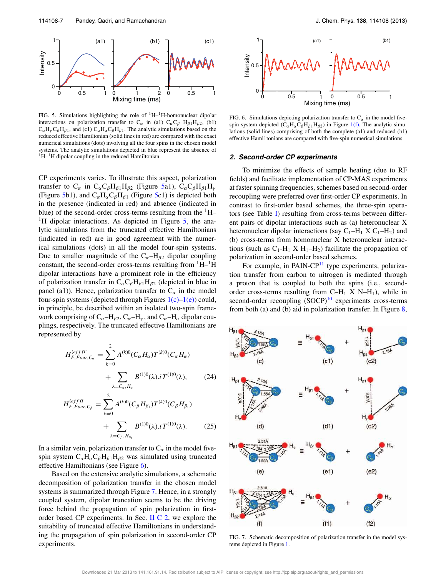

FIG. 5. Simulations highlighting the role of  ${}^{1}H-{}^{1}H$ -homonuclear dipolar interactions on polarization transfer to C<sub>α</sub> in (a1) C<sub>α</sub>C<sub>β</sub> H<sub>β1</sub>H<sub>β2</sub>, (b1)  $C_{\alpha}H_{\gamma}C_{\beta}H_{\beta1}$ , and (c1)  $C_{\alpha}H_{\alpha}C_{\beta}H_{\beta1}$ . The analytic simulations based on the reduced effective Hamiltonian (solid lines in red) are compared with the exact numerical simulations (dots) involving all the four spins in the chosen model systems. The analytic simulations depicted in blue represent the absence of  $1H-1H$  dipolar coupling in the reduced Hamiltonian.

CP experiments varies. To illustrate this aspect, polarization transfer to  $C_{\alpha}$  in  $C_{\alpha}C_{\beta}H_{\beta 1}H_{\beta 2}$  (Figure 5a1),  $C_{\alpha}C_{\beta}H_{\beta 1}H_{\gamma}$ (Figure 5b1), and  $C_{\alpha}H_{\alpha}C_{\beta}H_{\beta 1}$  (Figure 5c1) is depicted both in the presence (indicated in red) and absence (indicated in blue) of the second-order cross-terms resulting from the <sup>1</sup>H– <sup>1</sup>H dipolar interactions. As depicted in Figure  $5$ , the analytic simulations from the truncated effective Hamiltonians (indicated in red) are in good agreement with the numerical simulations (dots) in all the model four-spin systems. Due to smaller magnitude of the  $C_{\alpha}$ –H<sub>β2</sub> dipolar coupling constant, the second-order cross-terms resulting from  $^1H$ – $^1H$ dipolar interactions have a prominent role in the efficiency of polarization transfer in  $C_{\alpha}C_{\beta}H_{\beta 1}H_{\beta 2}$  (depicted in blue in panel (a1)). Hence, polarization transfer to  $C_{\alpha}$  in the model four-spin systems (depicted through Figures  $1(c)-1(e)$ ) could, in principle, be described within an isolated two-spin framework comprising of  $C_{\alpha}$ –H<sub>β2</sub>,  $C_{\alpha}$ –H<sub>γ</sub>, and  $C_{\alpha}$ –H<sub>α</sub> dipolar couplings, respectively. The truncated effective Hamiltonians are represented by

$$
H_{F,Four, C_{\alpha}}^{(eff)T} = \sum_{k=0}^{2} A^{(k)0} (C_{\alpha} H_{\alpha}) T^{(k)0} (C_{\alpha} H_{\alpha}) + \sum_{\lambda = C_{\alpha}, H_{\alpha}} B^{(1)0} (\lambda). i T^{(1)0} (\lambda), \qquad (24)
$$

$$
H_{F,Four,C_{\beta}}^{(eff)T} = \sum_{k=0}^{2} A^{(k)0} (C_{\beta} H_{\beta_1}) T^{(k)0} (C_{\beta} H_{\beta_1}) + \sum_{\lambda = C_{\beta}, H_{\beta_1}} B^{(1)0} (\lambda). i T^{(1)0} (\lambda). \tag{25}
$$

In a similar vein, polarization transfer to  $C_{\alpha}$  in the model fivespin system  $C_{\alpha}H_{\alpha}C_{\beta}H_{\beta1}H_{\beta2}$  was simulated using truncated effective Hamiltonians (see Figure 6).

Based on the extensive analytic simulations, a schematic decomposition of polarization transfer in the chosen model systems is summarized through Figure 7. Hence, in a strongly coupled system, dipolar truncation seems to be the driving force behind the propagation of spin polarization in firstorder based CP experiments. In Sec. II C 2, we explore the suitability of truncated effective Hamiltonians in understanding the propagation of spin polarization in second-order CP experiments.



FIG. 6. Simulations depicting polarization transfer to  $C_{\alpha}$  in the model fivespin system depicted ( $C_{\alpha}H_{\alpha}C_{\beta}H_{\beta1}H_{\beta2}$ ) in Figure 1(f). The analytic simulations (solid lines) comprising of both the complete (a1) and reduced (b1) effective Hami1tonians are compared with five-spin numerical simulations.

#### **2. Second-order CP experiments**

To minimize the effects of sample heating (due to RF fields) and facilitate implementation of CP-MAS experiments at faster spinning frequencies, schemes based on second-order recoupling were preferred over first-order CP experiments. In contrast to first-order based schemes, the three-spin operators (see Table I) resulting from cross-terms between different pairs of dipolar interactions such as (a) heteronuclear X heteronuclear dipolar interactions (say  $C_1-H_1 X C_1-H_2$ ) and (b) cross-terms from homonuclear X heteronuclear interactions (such as  $C_1-H_1 \times H_1-H_2$ ) facilitate the propagation of polarization in second-order based schemes.

For example, in PAIN-CP $^{11}$  type experiments, polarization transfer from carbon to nitrogen is mediated through a proton that is coupled to both the spins (i.e., secondorder cross-terms resulting from  $C-H_1$  X N–H<sub>1</sub>), while in second-order recoupling  $(SOCP)^{10}$  experiments cross-terms from both (a) and (b) aid in polarization transfer. In Figure 8,



FIG. 7. Schematic decomposition of polarization transfer in the model systems depicted in Figure 1.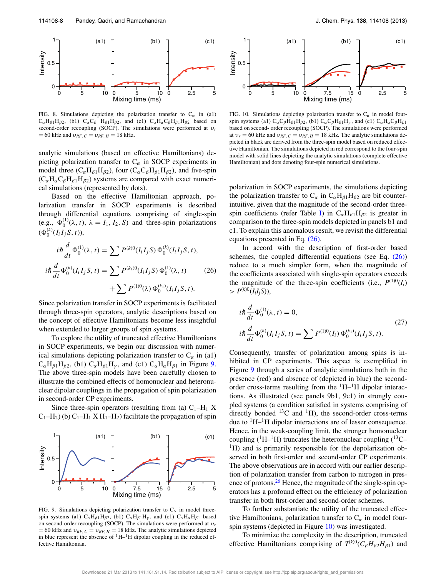

FIG. 8. Simulations depicting the polarization transfer to  $C_{\alpha}$  in (a1)  $C_{\alpha}H_{\beta1}H_{\beta2}$ , (b1)  $C_{\alpha}C_{\beta}H_{\beta1}H_{\beta2}$ , and (c1)  $C_{\alpha}H_{\alpha}C_{\beta}H_{\beta1}H_{\beta2}$  based on second-order recoupling (SOCP). The simulations were performed at υ*<sup>r</sup>*  $= 60$  kHz and  $v_{RF, C} = v_{RF, H} = 18$  kHz.

analytic simulations (based on effective Hamiltonians) depicting polarization transfer to  $C_{\alpha}$  in SOCP experiments in model three ( $C_{\alpha}H_{\beta1}H_{\beta2}$ ), four ( $C_{\alpha}C_{\beta}H_{\beta1}H_{\beta2}$ ), and five-spin  $(C_{\alpha}H_{\alpha}C_{\beta}H_{\beta1}H_{\beta2})$  systems are compared with exact numerical simulations (represented by dots).

Based on the effective Hamiltonian approach, polarization transfer in SOCP experiments is described through differential equations comprising of single-spin (e.g.,  $\Phi_0^{(1)}(\lambda, t)$ ,  $\lambda = I_1, I_2, S$ ) and three-spin polarizations  $(\Phi_0^{(k)}(I_i I_j S, t)),$ 

$$
i\hbar \frac{d}{dt} \Phi_0^{(1)}(\lambda, t) = \sum P^{(k)0}(I_i I_j S) \Phi_0^{(k)}(I_i I_j S, t),
$$
  

$$
i\hbar \frac{d}{dt} \Phi_0^{(k)}(I_i I_j S, t) = \sum P^{(k_1)0}(I_i I_j S) \Phi_0^{(1)}(\lambda, t) + \sum P^{(1)0}(\lambda) \Phi_0^{(k_1)}(I_i I_j S, t).
$$
 (26)

Since polarization transfer in SOCP experiments is facilitated through three-spin operators, analytic descriptions based on the concept of effective Hamiltonians become less insightful when extended to larger groups of spin systems.

To explore the utility of truncated effective Hamiltonians in SOCP experiments, we begin our discussion with numerical simulations depicting polarization transfer to  $C_{\alpha}$  in (a1)  $C_{\alpha}H_{\beta1}H_{\beta2}$ , (b1)  $C_{\alpha}H_{\beta1}H_{\gamma}$ , and (c1)  $C_{\alpha}H_{\alpha}H_{\beta1}$  in Figure 9. The above three-spin models have been carefully chosen to illustrate the combined effects of homonuclear and heteronuclear dipolar couplings in the propagation of spin polarization in second-order CP experiments.

Since three-spin operators (resulting from (a)  $C_1-H_1 X$  $C_1-H_2$ ) (b)  $C_1-H_1 X H_1-H_2$ ) facilitate the propagation of spin



FIG. 9. Simulations depicting polarization transfer to  $C_{\alpha}$  in model threespin systems (a1)  $C_{\alpha}H_{\beta 1}H_{\beta 2}$ , (b1)  $C_{\alpha}H_{\beta 1}H_{\gamma}$ , and (c1)  $C_{\alpha}H_{\alpha}H_{\beta 1}$  based on second-order recoupling (SOCP). The simulations were performed at υ*<sup>r</sup>*  $= 60$  kHz and  $v_{RF, C} = v_{RF, H} = 18$  kHz. The analytic simulations depicted in blue represent the absence of  ${}^{1}H-{}^{1}H$  dipolar coupling in the reduced effective Hamiltonian.



FIG. 10. Simulations depicting polarization transfer to  $C_{\alpha}$  in model fourspin systems (a1)  $C_{\alpha}C_{\beta}H_{\beta1}H_{\beta2}$ , (b1)  $C_{\alpha}C_{\beta}H_{\beta1}H_{\gamma}$ , and (c1)  $C_{\alpha}H_{\alpha}C_{\beta}H_{\beta1}$ based on second- order recoupling (SOCP). The simulations were performed at  $v_r = 60$  kHz and  $v_{RF, C} = v_{RF, H} = 18$  kHz. The analytic simulations depicted in black are derived from the three-spin model based on reduced effective Hamiltonian. The simulations depicted in red correspond to the four-spin model with solid lines depicting the analytic simulations (complete effective Hamiltonian) and dots denoting four-spin numerical simulations.

polarization in SOCP experiments, the simulations depicting the polarization transfer to  $C_{\alpha}$  in  $C_{\alpha}H_{\beta 1}H_{\beta 2}$  are bit counterintuitive, given that the magnitude of the second-order threespin coefficients (refer Table I) in  $C_{\alpha}H_{\beta 1}H_{\beta 2}$  is greater in comparison to the three-spin models depicted in panels b1 and c1. To explain this anomalous result, we revisit the differential equations presented in Eq. (26).

In accord with the description of first-order based schemes, the coupled differential equations (see Eq.  $(26)$ ) reduce to a much simpler form, when the magnitude of the coefficients associated with single-spin operators exceeds the magnitude of the three-spin coefficients (i.e.,  $P^{(1)0}(I_i)$  $> P^{(k)0}(I_iI_jS)),$ 

$$
i\hbar \frac{d}{dt} \Phi_0^{(1)}(\lambda, t) = 0,
$$
  
\n
$$
i\hbar \frac{d}{dt} \Phi_0^{(k)}(I_i I_j S, t) = \sum P^{(1)0}(I_i) \Phi_0^{(k_1)}(I_i I_j S, t).
$$
\n(27)

Consequently, transfer of polarization among spins is inhibited in CP experiments. This aspect is exemplified in Figure 9 through a series of analytic simulations both in the presence (red) and absence of (depicted in blue) the secondorder cross-terms resulting from the  $\rm{^1H-^1H}$  dipolar interactions. As illustrated (see panels 9b1, 9c1) in strongly coupled systems (a condition satisfied in systems comprising of directly bonded  $^{13}$ C and  $^{1}$ H), the second-order cross-terms due to  ${}^{1}H-{}^{1}H$  dipolar interactions are of lesser consequence. Hence, in the weak-coupling limit, the stronger homonuclear coupling ( ${}^{1}H-{}^{1}H$ ) truncates the heteronuclear coupling ( ${}^{13}C-$ <sup>1</sup>H) and is primarily responsible for the depolarization observed in both first-order and second-order CP experiments. The above observations are in accord with our earlier description of polarization transfer from carbon to nitrogen in presence of protons.<sup>26</sup> Hence, the magnitude of the single-spin operators has a profound effect on the efficiency of polarization transfer in both first-order and second-order schemes.

To further substantiate the utility of the truncated effective Hamiltonians, polarization transfer to  $C_{\alpha}$  in model fourspin systems (depicted in Figure 10) was investigated.

To minimize the complexity in the description, truncated effective Hamiltonians comprising of  $T^{(k)0}(C_\beta H_{\beta 2} H_{\beta 1})$  and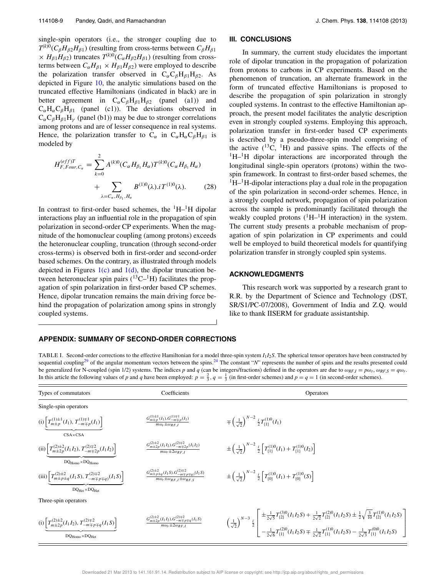single-spin operators (i.e., the stronger coupling due to  $T^{(k)0}(C_{\beta}H_{\beta 2}H_{\beta 1})$  (resulting from cross-terms between  $C_{\beta}H_{\beta 1}$  $\times$  *H*<sub>β1</sub>*H*<sub>β2</sub>) truncates *T*<sup>(*k*)0</sup>(*C*<sub>α</sub>*H*<sub>β2</sub>*H*<sub>β1</sub>) (resulting from crossterms between  $C_{\alpha}H_{\beta1} \times H_{\beta1}H_{\beta2}$  were employed to describe the polarization transfer observed in  $C_{\alpha}C_{\beta}H_{\beta1}H_{\beta2}$ . As depicted in Figure 10, the analytic simulations based on the truncated effective Hamiltonians (indicated in black) are in better agreement in  $C_{\alpha}C_{\beta}H_{\beta 1}H_{\beta 2}$  (panel (a1)) and  $C_{\alpha}H_{\alpha}C_{\beta}H_{\beta1}$  (panel (c1)). The deviations observed in  $C_{\alpha}C_{\beta}H_{\beta1}H_{\gamma}$  (panel (b1)) may be due to stronger correlations among protons and are of lesser consequence in real systems. Hence, the polarization transfer to  $C_{\alpha}$  in  $C_{\alpha}H_{\alpha}C_{\beta}H_{\beta 1}$  is modeled by

$$
H_{F,Four, C_{\alpha}}^{(eff)T} = \sum_{k=0}^{2} A^{(k)0} (C_{\alpha} H_{\beta_1} H_{\alpha}) T^{(k)0} (C_{\alpha} H_{\beta_1} H_{\alpha}) + \sum_{\lambda = C_{\alpha}, H_{\beta_1}, H_{\alpha}} B^{(1)0}(\lambda). i T^{(1)0}(\lambda). \tag{28}
$$

In contrast to first-order based schemes, the  $\rm{^{1}H-^{1}H}$  dipolar interactions play an influential role in the propagation of spin polarization in second-order CP experiments. When the magnitude of the homonuclear coupling (among protons) exceeds the heteronuclear coupling, truncation (through second-order cross-terms) is observed both in first-order and second-order based schemes. On the contrary, as illustrated through models depicted in Figures  $1(c)$  and  $1(d)$ , the dipolar truncation between heteronuclear spin pairs  $(^{13}C-^{1}H)$  facilitates the propagation of spin polarization in first-order based CP schemes. Hence, dipolar truncation remains the main driving force behind the propagation of polarization among spins in strongly coupled systems.

#### **III. CONCLUSIONS**

In summary, the current study elucidates the important role of dipolar truncation in the propagation of polarization from protons to carbons in CP experiments. Based on the phenomenon of truncation, an alternate framework in the form of truncated effective Hamiltonians is proposed to describe the propagation of spin polarization in strongly coupled systems. In contrast to the effective Hamiltonian approach, the present model facilitates the analytic description even in strongly coupled systems. Employing this approach, polarization transfer in first-order based CP experiments is described by a pseudo-three-spin model comprising of the active  $(^{13}C, ^{1}H)$  and passive spins. The effects of the  ${}^{1}H-{}^{1}H$  dipolar interactions are incorporated through the longitudinal single-spin operators (protons) within the twospin framework. In contrast to first-order based schemes, the  ${}^{1}H-{}^{1}H$ -dipolar interactions play a dual role in the propagation of the spin polarization in second-order schemes. Hence, in a strongly coupled network, propagation of spin polarization across the sample is predominantly facilitated through the weakly coupled protons  $(^1H-^1H$  interaction) in the system. The current study presents a probable mechanism of propagation of spin polarization in CP experiments and could well be employed to build theoretical models for quantifying polarization transfer in strongly coupled spin systems.

#### **ACKNOWLEDGMENTS**

This research work was supported by a research grant to R.R. by the Department of Science and Technology (DST, SR/S1/PC-07/2008), Government of India and Z.Q. would like to thank IISERM for graduate assistantship.

#### **APPENDIX: SUMMARY OF SECOND-ORDER CORRECTIONS**

TABLE I. Second-order corrections to the effective Hamiltonian for a model three-spin system *I*1*I*2*S*. The spherical tensor operators have been constructed by sequential coupling<sup>29</sup> of the angular momentum vectors between the spins.<sup>24</sup> The constant "*N*" represents the number of spins and the results presented could be generalized for N-coupled (spin 1/2) systems. The indices p and q (can be integers/fractions) defined in the operators are due to  $\omega_{RF,I} = p\omega_r$ ,  $\omega_{RF,S} = q\omega_r$ . In this article the following values of *p* and *q* have been employed:  $p = \frac{2}{3}$ ,  $q = \frac{1}{3}$  (in first-order schemes) and  $p = q = 1$  (in second-order schemes).

| Types of commutators                                                                                     | Coefficients                                                                                                                | <b>Operators</b>                                                                                                                                                                                                                                                                                                                                         |
|----------------------------------------------------------------------------------------------------------|-----------------------------------------------------------------------------------------------------------------------------|----------------------------------------------------------------------------------------------------------------------------------------------------------------------------------------------------------------------------------------------------------------------------------------------------------------------------------------------------------|
| Single-spin operators                                                                                    |                                                                                                                             |                                                                                                                                                                                                                                                                                                                                                          |
| (i) $T_{m\pm p}^{(1)\pm 1}(I_1), T_{-m\mp p}^{(1)\mp 1}(I_1)$<br>$CSA \times CSA$                        | $\frac{G_{m\pm p}^{(1)\pm 1}(I_1).G_{-m\mp p}^{(1)\mp 1}(I_1)}{m\omega_r\pm\omega_{RFI}}$                                   | $\mp \left(\frac{1}{\sqrt{2}}\right)^{N-2} \frac{i}{2} T_{\{1\}}^{(1)0}(I_1)$                                                                                                                                                                                                                                                                            |
| (ii) $T_{m\pm 2p}^{(2)\pm 2}(I_1I_2), T_{-m\mp 2p}^{(2)\mp 2}(I_1I_2)$                                   | $\frac{G_{m\pm 2p}^{(2)\pm 2}(I_1I_2).G_{-m\mp 2p}^{(2)\mp 2}(I_1I_2)}{m\omega_r\pm 2\omega_{RF,I}}$                        | $\pm \left(\frac{1}{\sqrt{2}}\right)^{N-2} \frac{i}{2} \left[ T_{\{1\}}^{(1)0}(I_1) + T_{\{1\}}^{(1)0}(I_2) \right]$                                                                                                                                                                                                                                     |
| $DQ_{Homo} \times DQ_{Homo}$                                                                             | $\frac{G_{m\pm p\pm q}^{(2)\pm 2}(I_1S).G_{-m\mp p\mp q)}^{(2)\mp 2}(I_1S)}{m\omega_r\pm \omega_{RF, I}\pm \omega_{RF, S}}$ | $\pm \left(\frac{1}{\sqrt{2}}\right)^{N-2} \frac{i}{2} \left[ T_{(0)}^{(1)0}(I_1) + T_{(0)}^{(1)0}(S) \right]$                                                                                                                                                                                                                                           |
| (iii) $T_{m\pm p\pm q}^{(2)\pm 2}(I_1S), T_{-m\mp p\mp q}^{(2)\mp 2}(I_1S)$<br>$DQ_{Het}\times DQ_{Het}$ |                                                                                                                             |                                                                                                                                                                                                                                                                                                                                                          |
| Three-spin operators                                                                                     |                                                                                                                             |                                                                                                                                                                                                                                                                                                                                                          |
| (i) $T_{m\pm 2p}^{(2)\pm 2}(I_1I_2), T_{-m\mp p\mp q}^{(2)\mp 2}(I_1S)$<br>$DQ_{Homo} \times DQ_{Het}$   | $\frac{G_{m\pm 2p}^{(2)\pm 2}(I_1I_2) \cdot G_{-m\mp p\mp q}^{(2)\mp 2}(I_1S)}{m\omega_r \pm 2\omega_{RF,I}}$               | $\left(\frac{1}{\sqrt{2}}\right)^{N-3}\frac{i}{2}\left[\begin{array}{c} \pm\frac{1}{2\sqrt{5}}T^{(3)0}_{\{2\}}(I_1I_2S)+\frac{1}{2\sqrt{2}}T^{(2)0}_{\{2\}}(I_1I_2S)\pm\frac{1}{2}\sqrt{\frac{3}{10}}T^{(1)0}_{\{2\}}(I_1I_2S)\\ -\frac{1}{2\sqrt{6}}T^{(2)0}_{\{1\}}(I_1I_2S)\mp\frac{1}{2\sqrt{2}}T^{(1)0}_{\{1\}}(I_1I_2S)-\frac{1}{2\sqrt{3}}T^{(0)$ |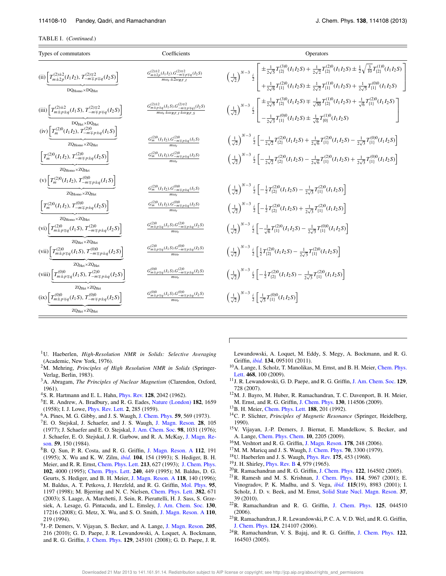| Types of commutators                                                                                                           | Coefficients                                                                                                             | Operators                                                                                                                                                                                                                                                                                                                                                   |
|--------------------------------------------------------------------------------------------------------------------------------|--------------------------------------------------------------------------------------------------------------------------|-------------------------------------------------------------------------------------------------------------------------------------------------------------------------------------------------------------------------------------------------------------------------------------------------------------------------------------------------------------|
| (ii) $T_{m\pm 2p}^{(2)\pm 2}(I_1I_2), T_{-m\mp p\mp q}^{(2)\mp 2}(I_2S)$<br>$DQ_{\text{Homo}} \times DQ_{\text{Het}}$          | $\frac{G_{m\pm 2p}^{(2)\pm 2}(I_1I_2) \cdot G_{-m\mp p\mp q}^{(2)\mp 2}(I_2S)}{m\omega_r \pm 2\omega_{RFI}}$             | $\left(\frac{1}{\sqrt{2}}\right)^{N-3}\stackrel{i}{\geq} \left[\begin{array}{c} \pm\frac{1}{2\sqrt{5}}T^{(3)0}_{\{2\}}(I_1I_2S) +\frac{1}{2\sqrt{2}}T^{(2)0}_{\{2\}}(I_1I_2S) \pm\frac{1}{2}\sqrt{\frac{3}{10}}T^{(1)0}_{\{2\}}(I_1I_2S) \\ +\frac{1}{2\sqrt{6}}T^{(2)0}_{\{1\}}(I_1I_2S) \pm\frac{1}{2\sqrt{2}}T^{(1)0}_{\{1\}}(I_1I_2S) +\frac{1}{2\sqrt$ |
| (iii) $T_{m\pm p\pm q}^{(2)\pm 2}(I_1S), T_{-m\mp p\mp q}^{(2)\mp 2}(I_2S)$<br>$DQ_{Het}\times DQ_{Het}$                       | $\frac{G_{m\pm p\pm q}^{(2)\pm 2}(I_1S).G_{-m\mp p\mp q)}^{(2)\mp 2}(I_2S)}{m\omega_r\pm\omega_{RF, I}\pm\omega_{RF,S}}$ | $\left(\frac{1}{\sqrt{2}}\right)^{N-3} \frac{i}{2} \left[ \frac{\pm \frac{1}{2\sqrt{5}} T_{\{2\}}^{(3)0}(I_1 I_2 S) \mp \frac{1}{\sqrt{30}} T_{\{2\}}^{(1)0}(I_1 I_2 S) + \frac{1}{\sqrt{6}} T_{\{1\}}^{(2)0}(I_1 I_2 S)}{-\frac{1}{2\sqrt{3}} T_{\{1\}}^{(0)0}(I_1 I_2 S) \pm \frac{1}{\sqrt{6}} T_{\{0\}}^{(1)0}(I_1 I_2 S)} \right]$                     |
| (iv) $T_m^{(2)0}(I_1I_2), T_{-m\mp p\pm q}^{(2)0}(I_1S)$<br>$ZQ_{\text{Homo}} \times ZQ_{\text{Het}}$                          | $\frac{G_m^{(2)0}(I_1I_2).G_{-m\mp p\pm q}^{(2)0}(I_1S)}{m\omega_r}$                                                     | $\left(\frac{1}{\sqrt{2}}\right)^{N-3} \frac{i}{2}\left[-\frac{1}{2\sqrt{2}}T_{(2)}^{(2)0}(I_1I_2S)+\frac{1}{2\sqrt{6}}T_{(1)}^{(2)0}(I_1I_2S)-\frac{1}{2\sqrt{3}}T_{(1)}^{(0)0}(I_1I_2S)\right]$                                                                                                                                                           |
| $\left[T_m^{(2)0}(I_1I_2), T_{-m\mp p\pm q}^{(2)0}(I_2S)\right]$                                                               | $\frac{G_m^{(2)0}(I_1I_2).G_{-m\mp p\pm q}^{(2)0}(I_2S)}{m\omega r}$                                                     | $\left(\frac{1}{\sqrt{2}}\right)^{N-3} \frac{i}{2} \left[ -\frac{1}{2\sqrt{2}} T_{\{2\}}^{(2)0} (I_1 I_2 S) - \frac{1}{2\sqrt{6}} T_{\{1\}}^{(2)0} (I_1 I_2 S) + \frac{1}{2\sqrt{3}} T_{\{1\}}^{(0)0} (I_1 I_2 S) \right]$                                                                                                                                  |
| $ZQ_{\text{Homo}} \times ZQ_{\text{Het}}$                                                                                      |                                                                                                                          |                                                                                                                                                                                                                                                                                                                                                             |
| (v) $\left[T_m^{(2)0}(I_1I_2), T_{-m\mp p\pm q}^{(0)0}(I_1S)\right]$<br>$ZQ_{\text{Homo}} \times ZQ_{\text{Het}}$              | $\frac{G_m^{(2)0}(I_1I_2).G_{-m\mp p\pm q}^{(0)0}(I_1S)}{m\omega_r}$                                                     | $\left(\frac{1}{\sqrt{2}}\right)^{N-3} \frac{i}{2} \left[ -\frac{1}{2} T_{2}^{(2)0} (I_1 I_2 S) - \frac{1}{2\sqrt{3}} T_{11}^{(2)0} (I_1 I_2 S) \right]$                                                                                                                                                                                                    |
| $\left[T_m^{(2)0}(I_1I_2), T_{-m\mp p\pm q}^{(0)0}(I_2S)\right]$                                                               | $\frac{G_m^{(2)0}(I_1I_2).G_{-m\mp p\pm q}^{(0)0}(I_2S)}{m\omega_r}$                                                     | $\left(\frac{1}{\sqrt{2}}\right)^{N-3} \frac{i}{2} \left[ -\frac{1}{2} T_{\{2\}}^{(2)0} (I_1 I_2 S) + \frac{1}{2\sqrt{3}} T_{\{1\}}^{(2)0} (I_1 I_2 S) \right]$                                                                                                                                                                                             |
| $ZQ_{\text{Homo}} \times ZQ_{\text{Het}}$<br>(vi) $T_{m\pm p\mp q}^{(2)0}(I_1S), T_{-m\mp p\pm q}^{(2)0}(I_2S)$                | $\frac{G_{m\pm p\mp q}^{(2)0}(I_1S).G_{-m\mp p\pm q}^{(2)0}(I_2S)}{m\omega_r}$                                           | $\left(\frac{1}{\sqrt{2}}\right)^{N-3} \frac{i}{2} \left[ -\frac{1}{\sqrt{6}} T_{11}^{(2)0} (I_1 I_2 S) - \frac{1}{2\sqrt{2}} T_{11}^{(0)0} (I_1 I_2 S) \right]$                                                                                                                                                                                            |
| $ZQ_{Het}\times ZQ_{Het}$<br>(vii) $T_{m\pm p\mp q}^{(2)0}(I_1S), T_{-m\mp p\pm q}^{(0)0}(I_2S)$                               | $\frac{G_{m\pm p\mp q}^{(2)0}(I_1S)G_{-m\mp p\pm q}^{(0)0}(I_2S)}{m\omega_p}$                                            | $\left(\frac{1}{\sqrt{2}}\right)^{N-3} \frac{i}{2} \left[ \frac{1}{2} T_{\{2\}}^{(2)0} (I_1 I_2 S) - \frac{1}{2\sqrt{3}} T_{\{1\}}^{(2)0} (I_1 I_2 S) \right]$                                                                                                                                                                                              |
| $ZQ_{Het}\times ZQ_{Het}$<br>(viii) $\left[T_{m\pm p\mp q}^{(0)0}(I_1S), T_{-m\mp p\pm q}^{(2)0}(I_2S)\right]$                 | $\frac{G_{m\pm p\mp q}^{(0)0}(I_1S),G_{-m\mp p\pm q}^{(2)0}(I_2S)}{m\omega_r}$                                           | $\left(\frac{1}{\sqrt{2}}\right)^{N-3} \frac{i}{2} \left[ -\frac{1}{2} T_{\{2\}}^{(2)0} (I_1 I_2 S) - \frac{1}{2} T_{\{1\}}^{(2)0} (I_1 I_2 S) \right]$                                                                                                                                                                                                     |
| $ZQ_{\text{Het}}$ $\times$ $ZQ_{\text{Het}}$<br>$(ix)\left[T_{m\pm p\mp q}^{(0)0}(I_1S), T_{-m\mp p\pm q}^{(0)0}(I_2S)\right]$ | $\frac{G_{m\pm p\mp q}^{(0)0}(I_1S)G_{-m\mp p\pm q}^{(0)0}(I_2S)}{m\omega_r}$                                            | $\left(\frac{1}{\sqrt{2}}\right)^{N-3} \frac{i}{2} \left[\frac{1}{\sqrt{3}}T_{\{1\}}^{(0)0}(I_1I_2S)\right]$                                                                                                                                                                                                                                                |
| $ZQ_{Het}\times ZQ_{Het}$                                                                                                      |                                                                                                                          |                                                                                                                                                                                                                                                                                                                                                             |

 $\overline{1}$ 

- <sup>1</sup>U. Haeberlen, *High-Resolution NMR in Solids: Selective Averaging* (Academic, New York, 1976).
- <sup>2</sup>M. Mehring, *Principles of High Resolution NMR in Solids* (Springer-Verlag, Berlin, 1983).
- <sup>3</sup>A. Abragam, *The Principles of Nuclear Magnetism* (Clarendon, Oxford, 1961).
- <sup>4</sup>S. R. Hartmann and E. L. Hahn, Phys. Rev. **128**, 2042 (1962).
- <sup>5</sup>E. R. Andrew, A. Bradbury, and R. G. Eades, Nature (London) **182**, 1659 (1958); I. J. Lowe, Phys. Rev. Lett. **2**, 285 (1959).
- <sup>6</sup>A. Pines, M. G. Gibby, and J. S. Waugh, J. Chem. Phys. **59**, 569 (1973).
- <sup>7</sup>E. O. Stejskal, J. Schaefer, and J. S. Waugh, J. Magn. Reson. **28**, 105 (1977); J. Schaefer and E. O. Stejskal, J. Am. Chem. Soc. **98**, 1031 (1976); J. Schaefer, E. O. Stejskal, J. R. Garbow, and R. A. McKay, J. Magn. Reson. **59**, 150 (1984).
- <sup>8</sup>B. Q. Sun, P. R. Costa, and R. G. Griffin, J. Magn. Reson. A **112**, 191 (1995); X. Wu and K. W. Zilm, *ibid.* **104**, 154 (1993); S. Hediger, B. H. Meier, and R. R. Ernst, Chem. Phys. Lett. **213**, 627 (1993); J. Chem. Phys. **102**, 4000 (1995); Chem. Phys. Lett. **240**, 449 (1995); M. Baldus, D. G. Geurts, S. Hediger, and B. H. Meier, J. Magn. Reson. A **118**, 140 (1996); M. Baldus, A. T. Petkova, J. Herzfeld, and R. G. Griffin, Mol. Phys. **95**, 1197 (1998); M. Bjerring and N. C. Nielsen, Chem. Phys. Lett. **382**, 671 (2003); S. Laage, A. Marchetti, J. Sein, R. Pierattelli, H. J. Sass, S. Grzesiek, A. Lesage, G. Pintacuda, and L. Emsley, J. Am. Chem. Soc. **130**, 17216 (2008); G. Metz, X. Wu, and S. O. Smith, J. Magn. Reson. A **110**, 219 (1994).
- 9 J.-P. Demers, V. Vijayan, S. Becker, and A. Lange, J. Magn. Reson. **205**, 216 (2010); G. D. Paepe, J. R. Lewandowski, A. Loquet, A. Bockmann, and R. G. Griffin, J. Chem. Phys. **129**, 245101 (2008); G. D. Paepe, J. R.
- Lewandowski, A. Loquet, M. Eddy, S. Megy, A. Bockmann, and R. G. Griffin, *ibid.* **134**, 095101 (2011).
- <sup>10</sup>A. Lange, I. Scholz, T. Manolikas, M. Ernst, and B. H. Meier, Chem. Phys. Lett. **468**, 100 (2009).
- <sup>11</sup>J. R. Lewandowski, G. D. Paepe, and R. G. Griffin, J. Am. Chem. Soc. **129**, 728 (2007).
- <sup>12</sup>M. J. Bayro, M. Huber, R. Ramachandran, T. C. Davenport, B. H. Meier, M. Ernst, and R. G. Griffin, J. Chem. Phys. **130**, 114506 (2009).
- <sup>13</sup>B. H. Meier, Chem. Phys. Lett. **188**, 201 (1992).
- <sup>14</sup>C. P. Slichter, *Principles of Magnetic Resonance* (Springer, Heidelberg, 1990).
- <sup>15</sup>V. Vijayan, J.-P. Demers, J. Biernat, E. Mandelkow, S. Becker, and A. Lange, Chem. Phys. Chem. **10**, 2205 (2009).
- <sup>16</sup>M. Veshtort and R. G. Griffin, J. Magn. Reson. **178**, 248 (2006).
- <sup>17</sup>M. M. Maricq and J. S. Waugh, J. Chem. Phys. **70**, 3300 (1979).
- <sup>18</sup>U. Haeberlen and J. S. Waugh, Phys. Rev. **175**, 453 (1968).
- <sup>19</sup>J. H. Shirley, Phys. Rev. B **4**, 979 (1965).
- <sup>20</sup>R. Ramachandran and R. G. Griffin, J. Chem. Phys. **122**, 164502 (2005).
- <sup>21</sup>R. Ramesh and M. S. Krishnan, J. Chem. Phys. **114**, 5967 (2001); E. Vinogradov, P. K. Madhu, and S. Vega, *ibid.* **115**(19), 8983 (2001); I. Scholz, J. D. v. Beek, and M. Ernst, Solid State Nucl. Magn. Reson. **37**, 39 (2010).
- <sup>22</sup>R. Ramachandran and R. G. Griffin, J. Chem. Phys. **125**, 044510 (2006).
- <sup>23</sup>R. Ramachandran, J. R. Lewandowski, P. C. A. V. D. Wel, and R. G. Griffin, J. Chem. Phys. **124**, 214107 (2006).
- <sup>24</sup>R. Ramachandran, V. S. Bajaj, and R. G. Griffin, J. Chem. Phys. **122**, 164503 (2005).